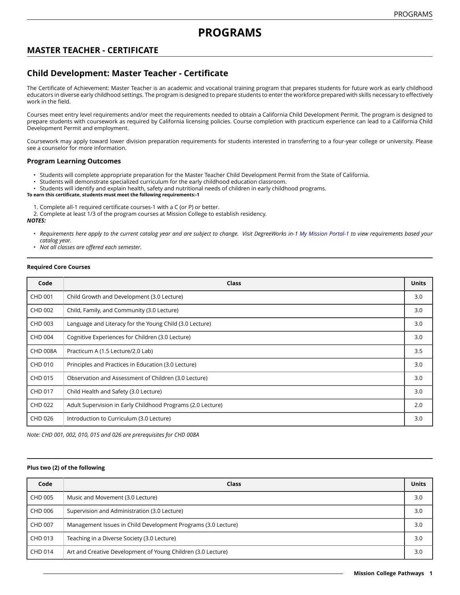# **MASTER TEACHER - CERTIFICATE**

## **Child Development: Master Teacher - Certificate**

The Certificate of Achievement: Master Teacher is an academic and vocational training program that prepares students for future work as early childhood educators in diverse early childhood settings. The program is designed to prepare students to enter the workforce prepared with skills necessary to effectively work in the field.

Courses meet entry level requirements and/or meet the requirements needed to obtain a California Child Development Permit. The program is designed to prepare students with coursework as required by California licensing policies. Course completion with practicum experience can lead to a California Child Development Permit and employment.

Coursework may apply toward lower division preparation requirements for students interested in transferring to a four-year college or university. Please see a counselor for more information.

### **Program Learning Outcomes**

- Students will complete appropriate preparation for the Master Teacher Child Development Permit from the State of California.
- Students will demonstrate specialized curriculum for the early childhood education classroom.
- Students will identify and explain health, safety and nutritional needs of children in early childhood programs.

#### **To earn this certificate, students must meet the following requirements:-1**

1. Complete all-1 required certificate courses-1 with a C (or P) or better.

2. Complete at least 1/3 of the program courses at Mission College to establish residency.

*NOTES:*

- Requirements here apply to the current catalog year and are subject to change. Visit DegreeWorks in-1 [My Mission Portal-1](https://wvmccd.sharepoint.com/sites/MCPortal) to view requirements based your *catalog year.*
- *Not all classes are offered each semester.*

#### **Required Core Courses**

| Code            | Class                                                       | <b>Units</b> |
|-----------------|-------------------------------------------------------------|--------------|
| <b>CHD 001</b>  | Child Growth and Development (3.0 Lecture)                  | 3.0          |
| CHD 002         | Child, Family, and Community (3.0 Lecture)                  | 3.0          |
| CHD 003         | Language and Literacy for the Young Child (3.0 Lecture)     | 3.0          |
| <b>CHD 004</b>  | Cognitive Experiences for Children (3.0 Lecture)            | 3.0          |
| <b>CHD 008A</b> | Practicum A (1.5 Lecture/2.0 Lab)                           | 3.5          |
| CHD 010         | Principles and Practices in Education (3.0 Lecture)         | 3.0          |
| CHD 015         | Observation and Assessment of Children (3.0 Lecture)        | 3.0          |
| CHD 017         | Child Health and Safety (3.0 Lecture)                       | 3.0          |
| CHD 022         | Adult Supervision in Early Childhood Programs (2.0 Lecture) | 2.0          |
| CHD 026         | Introduction to Curriculum (3.0 Lecture)                    | 3.0          |

*Note: CHD 001, 002, 010, 015 and 026 are prerequisites for CHD 008A*

### **Plus two (2) of the following**

| Code    | Class                                                         | <b>Units</b> |
|---------|---------------------------------------------------------------|--------------|
| CHD 005 | Music and Movement (3.0 Lecture)                              | 3.0          |
| CHD 006 | Supervision and Administration (3.0 Lecture)                  | 3.0          |
| CHD 007 | Management Issues in Child Development Programs (3.0 Lecture) | 3.0          |
| CHD 013 | Teaching in a Diverse Society (3.0 Lecture)                   | 3.0          |
| CHD 014 | Art and Creative Development of Young Children (3.0 Lecture)  | 3.0          |